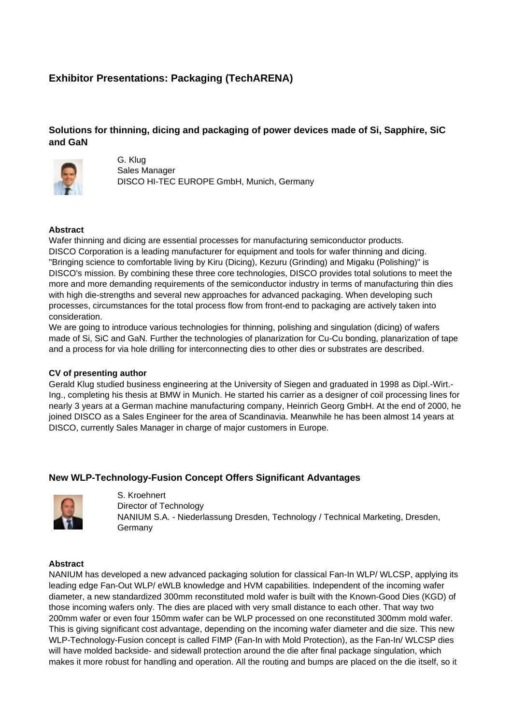# **Exhibitor Presentations: Packaging (TechARENA)**

# **Solutions for thinning, dicing and packaging of power devices made of Si, Sapphire, SiC and GaN**



G. Klug Sales Manager DISCO HI-TEC EUROPE GmbH, Munich, Germany

## **Abstract**

Wafer thinning and dicing are essential processes for manufacturing semiconductor products. DISCO Corporation is a leading manufacturer for equipment and tools for wafer thinning and dicing. "Bringing science to comfortable living by Kiru (Dicing), Kezuru (Grinding) and Migaku (Polishing)" is DISCO's mission. By combining these three core technologies, DISCO provides total solutions to meet the more and more demanding requirements of the semiconductor industry in terms of manufacturing thin dies with high die-strengths and several new approaches for advanced packaging. When developing such processes, circumstances for the total process flow from front-end to packaging are actively taken into consideration.

We are going to introduce various technologies for thinning, polishing and singulation (dicing) of wafers made of Si, SiC and GaN. Further the technologies of planarization for Cu-Cu bonding, planarization of tape and a process for via hole drilling for interconnecting dies to other dies or substrates are described.

#### **CV of presenting author**

Gerald Klug studied business engineering at the University of Siegen and graduated in 1998 as Dipl.-Wirt.- Ing., completing his thesis at BMW in Munich. He started his carrier as a designer of coil processing lines for nearly 3 years at a German machine manufacturing company, Heinrich Georg GmbH. At the end of 2000, he joined DISCO as a Sales Engineer for the area of Scandinavia. Meanwhile he has been almost 14 years at DISCO, currently Sales Manager in charge of major customers in Europe.

## **New WLP-Technology-Fusion Concept Offers Significant Advantages**



S. Kroehnert Director of Technology NANIUM S.A. - Niederlassung Dresden, Technology / Technical Marketing, Dresden, Germany

## **Abstract**

NANIUM has developed a new advanced packaging solution for classical Fan-In WLP/ WLCSP, applying its leading edge Fan-Out WLP/ eWLB knowledge and HVM capabilities. Independent of the incoming wafer diameter, a new standardized 300mm reconstituted mold wafer is built with the Known-Good Dies (KGD) of those incoming wafers only. The dies are placed with very small distance to each other. That way two 200mm wafer or even four 150mm wafer can be WLP processed on one reconstituted 300mm mold wafer. This is giving significant cost advantage, depending on the incoming wafer diameter and die size. This new WLP-Technology-Fusion concept is called FIMP (Fan-In with Mold Protection), as the Fan-In/ WLCSP dies will have molded backside- and sidewall protection around the die after final package singulation, which makes it more robust for handling and operation. All the routing and bumps are placed on the die itself, so it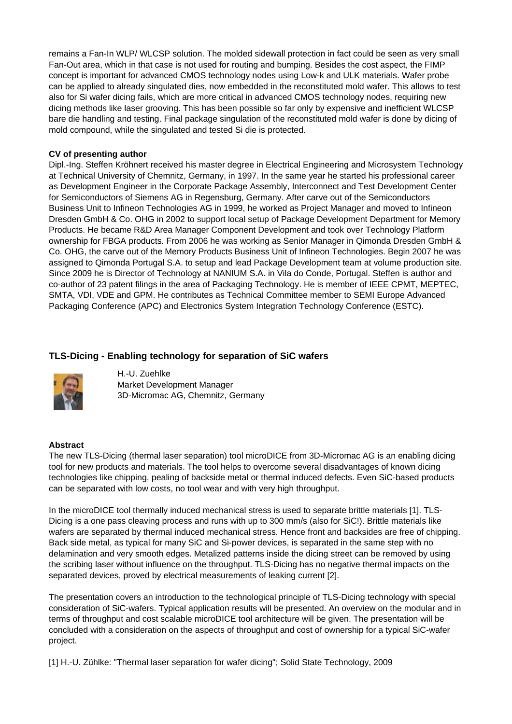remains a Fan-In WLP/ WLCSP solution. The molded sidewall protection in fact could be seen as very small Fan-Out area, which in that case is not used for routing and bumping. Besides the cost aspect, the FIMP concept is important for advanced CMOS technology nodes using Low-k and ULK materials. Wafer probe can be applied to already singulated dies, now embedded in the reconstituted mold wafer. This allows to test also for Si wafer dicing fails, which are more critical in advanced CMOS technology nodes, requiring new dicing methods like laser grooving. This has been possible so far only by expensive and inefficient WLCSP bare die handling and testing. Final package singulation of the reconstituted mold wafer is done by dicing of mold compound, while the singulated and tested Si die is protected.

#### **CV of presenting author**

Dipl.-Ing. Steffen Kröhnert received his master degree in Electrical Engineering and Microsystem Technology at Technical University of Chemnitz, Germany, in 1997. In the same year he started his professional career as Development Engineer in the Corporate Package Assembly, Interconnect and Test Development Center for Semiconductors of Siemens AG in Regensburg, Germany. After carve out of the Semiconductors Business Unit to Infineon Technologies AG in 1999, he worked as Project Manager and moved to Infineon Dresden GmbH & Co. OHG in 2002 to support local setup of Package Development Department for Memory Products. He became R&D Area Manager Component Development and took over Technology Platform ownership for FBGA products. From 2006 he was working as Senior Manager in Qimonda Dresden GmbH & Co. OHG, the carve out of the Memory Products Business Unit of Infineon Technologies. Begin 2007 he was assigned to Qimonda Portugal S.A. to setup and lead Package Development team at volume production site. Since 2009 he is Director of Technology at NANIUM S.A. in Vila do Conde, Portugal. Steffen is author and co-author of 23 patent filings in the area of Packaging Technology. He is member of IEEE CPMT, MEPTEC, SMTA, VDI, VDE and GPM. He contributes as Technical Committee member to SEMI Europe Advanced Packaging Conference (APC) and Electronics System Integration Technology Conference (ESTC).

## **TLS-Dicing - Enabling technology for separation of SiC wafers**



H.-U. Zuehlke Market Development Manager 3D-Micromac AG, Chemnitz, Germany

#### **Abstract**

The new TLS-Dicing (thermal laser separation) tool microDICE from 3D-Micromac AG is an enabling dicing tool for new products and materials. The tool helps to overcome several disadvantages of known dicing technologies like chipping, pealing of backside metal or thermal induced defects. Even SiC-based products can be separated with low costs, no tool wear and with very high throughput.

In the microDICE tool thermally induced mechanical stress is used to separate brittle materials [1]. TLS-Dicing is a one pass cleaving process and runs with up to 300 mm/s (also for SiC!). Brittle materials like wafers are separated by thermal induced mechanical stress. Hence front and backsides are free of chipping. Back side metal, as typical for many SiC and Si-power devices, is separated in the same step with no delamination and very smooth edges. Metalized patterns inside the dicing street can be removed by using the scribing laser without influence on the throughput. TLS-Dicing has no negative thermal impacts on the separated devices, proved by electrical measurements of leaking current [2].

The presentation covers an introduction to the technological principle of TLS-Dicing technology with special consideration of SiC-wafers. Typical application results will be presented. An overview on the modular and in terms of throughput and cost scalable microDICE tool architecture will be given. The presentation will be concluded with a consideration on the aspects of throughput and cost of ownership for a typical SiC-wafer project.

[1] H.-U. Zühlke: "Thermal laser separation for wafer dicing"; Solid State Technology, 2009